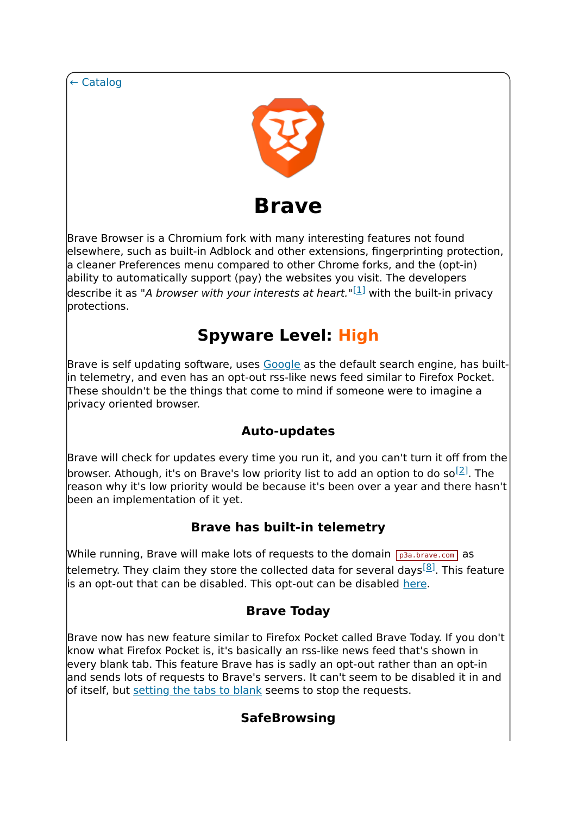← Catalog



Brave Browser is a Chromium fork with many interesting features not found elsewhere, such as built-in Adblock and other extensions, fingerprinting protection, a cleaner Preferences menu compared to other Chrome forks, and the (opt-in) ability to automatically support (pay) the websites you visit. The developers describe it as "A *browser with your interests at heart*."<sup>[1]</sup> with the built-in privacy protections.

# **Spyware Level: High**

Brave is self updating software, uses Google as the default search engine, has builtin telemetry, and even has an opt-out rss-like news feed similar to Firefox Pocket. These shouldn't be the things that come to mind if someone were to imagine a privacy oriented browser.

## **Auto-updates**

Brave will check for updates every time you run it, and you can't turn it off from the browser. Athough, it's on Brave's low priority list to add an option to do so<sup>[2]</sup>. The reason why it's low priority would be because it's been over a year and there hasn't been an implementation of it yet.

### **Brave has built-in telemetry**

While running, Brave will make lots of requests to the domain  $\sqrt{p_3a_1b_1p_2c_2}$  as telemetry. They claim they store the collected data for several davs<sup>[8]</sup>. This feature is an opt-out that can be disabled. This opt-out can be disabled here.

### **Brave Today**

Brave now has new feature similar to Firefox Pocket called Brave Today. If you don't know what Firefox Pocket is, it's basically an rss-like news feed that's shown in every blank tab. This feature Brave has is sadly an opt-out rather than an opt-in and sends lots of requests to Brave's servers. It can't seem to be disabled it in and of itself, but setting the tabs to blank seems to stop the requests.

## **SafeBrowsing**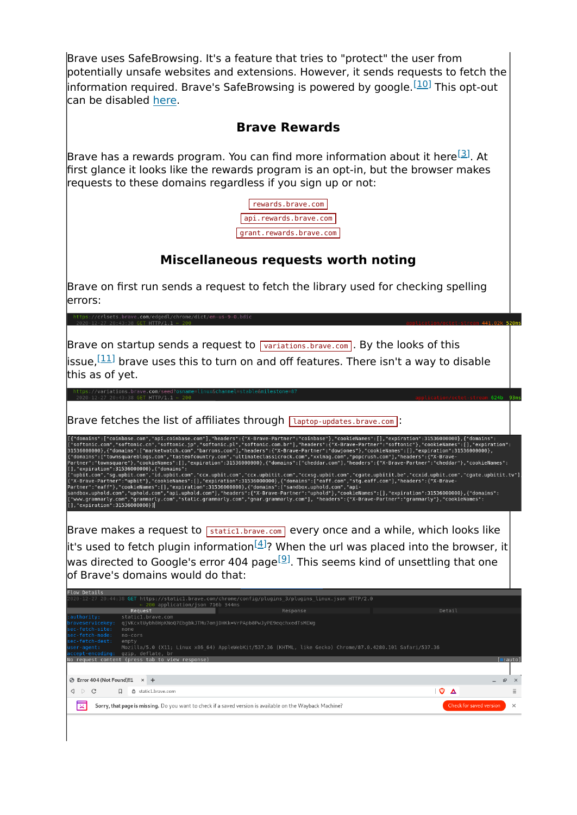Brave uses SafeBrowsing. It's a feature that tries to "protect" the user from potentially unsafe websites and extensions. However, it sends requests to fetch the information required. Brave's SafeBrowsing is powered by google.  $[10]$  This opt-out can be disabled here.

#### **Brave Rewards**

Brave has a rewards program. You can find more information about it here  $[3]$ . At first glance it looks like the rewards program is an opt-in, but the browser makes requests to these domains regardless if you sign up or not:



#### **Miscellaneous requests worth noting**

Brave on first run sends a request to fetch the library used for checking spelling errors:

Brave on startup sends a request to  $\sqrt{Variations.brawe.com}$ . By the looks of this

issue,  $\left[ \frac{11}{11} \right]$  brave uses this to turn on and off features. There isn't a way to disable this as of yet.

Brave fetches the list of affiliates through  $\sqrt{2}$  laptop-updates.brave.com :

"domains":["coinbase.com","api.coinbase.com"],"headers":{"X-Brave-Partner":"coinbase"},"cookieNames":[],"expiration":31536000000},{"domains":<br>Softonic.com","softonic.cn","softonic.jp","softonic.pl","softonic.com.br"],"head arther":"townsquare"},"cookielRames":||,"expiration":31536000000,{"domains":|"cheddar.com"|,"headers":{"X-Brave-Parther":"cheddar"},"cookieRames":<br>|,"expiration":31536000000},{"domains":<br>"whit.com","sg.upbit.com","id.upbit

Brave makes a request to  $\sqrt{\frac{1}{100}}$  static1.brave.com every once and a while, which looks like  $\left\vert$ it's used to fetch plugin information $^{[4]}$ ? When the url was placed into the browser, it was directed to Google's error 404 page<sup>[9]</sup>. This seems kind of unsettling that one of Brave's domains would do that:

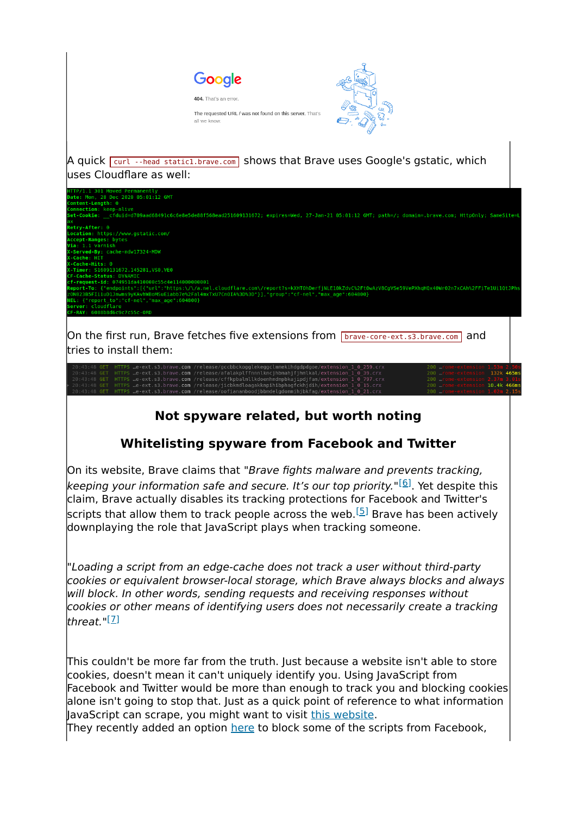

132k 465m . com . com ,<br>/release/cffknhalmllkdo  $con$ 10.4k 466m

### **Not spyware related, but worth noting**

### **Whitelisting spyware from Facebook and Twitter**

On its website, Brave claims that "Brave fights malware and prevents tracking, keeping your information safe and secure. It's our top priority."<sup>[6]</sup>. Yet despite this claim, Brave actually disables its tracking protections for Facebook and Twitter's scripts that allow them to track people across the web.<sup>[5]</sup> Brave has been actively downplaying the role that JavaScript plays when tracking someone.

"Loading a script from an edge-cache does not track a user without third-party cookies or equivalent browser-local storage, which Brave always blocks and always will block. In other words, sending requests and receiving responses without cookies or other means of identifying users does not necessarily create a tracking lthreat."<sup>[<u>7</u>]</sup>

This couldn't be more far from the truth. Just because a website isn't able to store cookies, doesn't mean it can't uniquely identify you. Using JavaScript from Facebook and Twitter would be more than enough to track you and blocking cookies alone isn't going to stop that. Just as a quick point of reference to what information JavaScript can scrape, you might want to visit this website. They recently added an option here to block some of the scripts from Facebook,